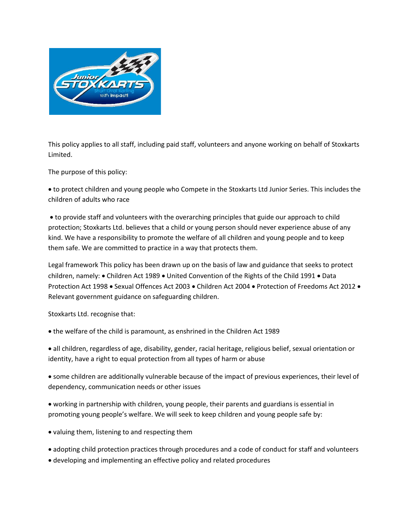

This policy applies to all staff, including paid staff, volunteers and anyone working on behalf of Stoxkarts Limited.

The purpose of this policy:

• to protect children and young people who Compete in the Stoxkarts Ltd Junior Series. This includes the children of adults who race

• to provide staff and volunteers with the overarching principles that guide our approach to child protection; Stoxkarts Ltd. believes that a child or young person should never experience abuse of any kind. We have a responsibility to promote the welfare of all children and young people and to keep them safe. We are committed to practice in a way that protects them.

Legal framework This policy has been drawn up on the basis of law and guidance that seeks to protect children, namely: • Children Act 1989 • United Convention of the Rights of the Child 1991 • Data Protection Act 1998 • Sexual Offences Act 2003 • Children Act 2004 • Protection of Freedoms Act 2012 • Relevant government guidance on safeguarding children.

Stoxkarts Ltd. recognise that:

• the welfare of the child is paramount, as enshrined in the Children Act 1989

• all children, regardless of age, disability, gender, racial heritage, religious belief, sexual orientation or identity, have a right to equal protection from all types of harm or abuse

• some children are additionally vulnerable because of the impact of previous experiences, their level of dependency, communication needs or other issues

• working in partnership with children, young people, their parents and guardians is essential in promoting young people's welfare. We will seek to keep children and young people safe by:

- valuing them, listening to and respecting them
- adopting child protection practices through procedures and a code of conduct for staff and volunteers
- developing and implementing an effective policy and related procedures